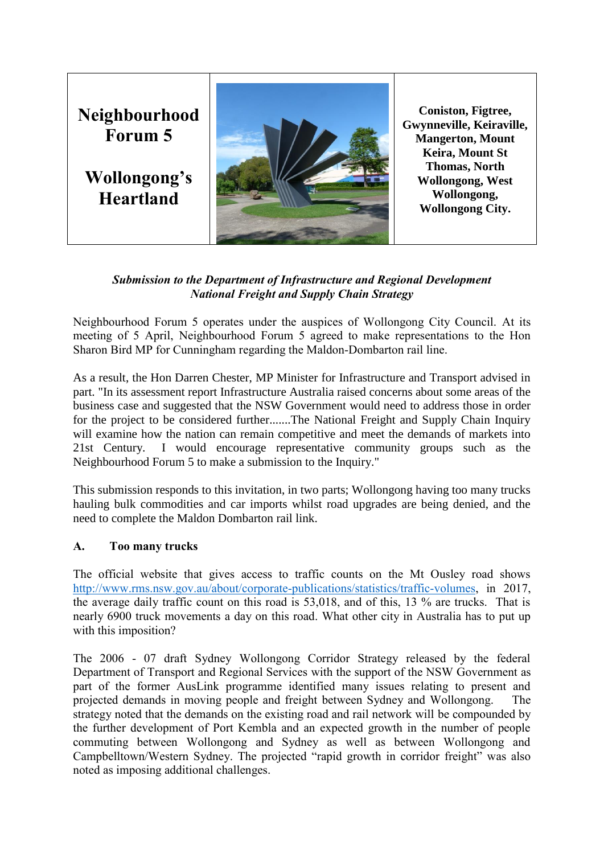

# *Submission to the Department of Infrastructure and Regional Development National Freight and Supply Chain Strategy*

Neighbourhood Forum 5 operates under the auspices of Wollongong City Council. At its meeting of 5 April, Neighbourhood Forum 5 agreed to make representations to the Hon Sharon Bird MP for Cunningham regarding the Maldon-Dombarton rail line.

As a result, the Hon Darren Chester, MP Minister for Infrastructure and Transport advised in part. "In its assessment report Infrastructure Australia raised concerns about some areas of the business case and suggested that the NSW Government would need to address those in order for the project to be considered further.......The National Freight and Supply Chain Inquiry will examine how the nation can remain competitive and meet the demands of markets into 21st Century. I would encourage representative community groups such as the Neighbourhood Forum 5 to make a submission to the Inquiry."

This submission responds to this invitation, in two parts; Wollongong having too many trucks hauling bulk commodities and car imports whilst road upgrades are being denied, and the need to complete the Maldon Dombarton rail link.

## **A. Too many trucks**

The official website that gives access to traffic counts on the Mt Ousley road shows [http://www.rms.nsw.gov.au/about/corporate-publications/statistics/traffic-volumes,](http://www.rms.nsw.gov.au/about/corporate-publications/statistics/traffic-volumes) in 2017, the average daily traffic count on this road is 53,018, and of this, 13 % are trucks. That is nearly 6900 truck movements a day on this road. What other city in Australia has to put up with this imposition?

The 2006 - 07 draft Sydney Wollongong Corridor Strategy released by the federal Department of Transport and Regional Services with the support of the NSW Government as part of the former AusLink programme identified many issues relating to present and projected demands in moving people and freight between Sydney and Wollongong. The strategy noted that the demands on the existing road and rail network will be compounded by the further development of Port Kembla and an expected growth in the number of people commuting between Wollongong and Sydney as well as between Wollongong and Campbelltown/Western Sydney. The projected "rapid growth in corridor freight" was also noted as imposing additional challenges.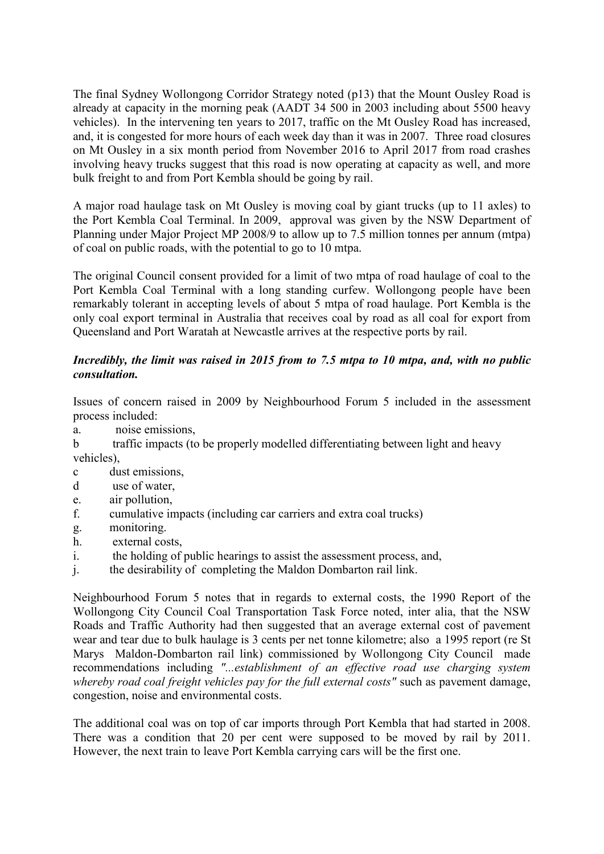The final Sydney Wollongong Corridor Strategy noted (p13) that the Mount Ousley Road is already at capacity in the morning peak (AADT 34 500 in 2003 including about 5500 heavy vehicles). In the intervening ten years to 2017, traffic on the Mt Ousley Road has increased, and, it is congested for more hours of each week day than it was in 2007. Three road closures on Mt Ousley in a six month period from November 2016 to April 2017 from road crashes involving heavy trucks suggest that this road is now operating at capacity as well, and more bulk freight to and from Port Kembla should be going by rail.

A major road haulage task on Mt Ousley is moving coal by giant trucks (up to 11 axles) to the Port Kembla Coal Terminal. In 2009, approval was given by the NSW Department of Planning under Major Project MP 2008/9 to allow up to 7.5 million tonnes per annum (mtpa) of coal on public roads, with the potential to go to 10 mtpa.

The original Council consent provided for a limit of two mtpa of road haulage of coal to the Port Kembla Coal Terminal with a long standing curfew. Wollongong people have been remarkably tolerant in accepting levels of about 5 mtpa of road haulage. Port Kembla is the only coal export terminal in Australia that receives coal by road as all coal for export from Queensland and Port Waratah at Newcastle arrives at the respective ports by rail.

# *Incredibly, the limit was raised in 2015 from to 7.5 mtpa to 10 mtpa, and, with no public consultation.*

Issues of concern raised in 2009 by Neighbourhood Forum 5 included in the assessment process included:

a. noise emissions,

b traffic impacts (to be properly modelled differentiating between light and heavy vehicles),

- c dust emissions,
- d use of water,
- e. air pollution,
- f. cumulative impacts (including car carriers and extra coal trucks)
- g. monitoring.
- h. external costs,
- i. the holding of public hearings to assist the assessment process, and,
- j. the desirability of completing the Maldon Dombarton rail link.

Neighbourhood Forum 5 notes that in regards to external costs, the 1990 Report of the Wollongong City Council Coal Transportation Task Force noted, inter alia, that the NSW Roads and Traffic Authority had then suggested that an average external cost of pavement wear and tear due to bulk haulage is 3 cents per net tonne kilometre; also a 1995 report (re St Marys Maldon-Dombarton rail link) commissioned by Wollongong City Council made recommendations including *"...establishment of an effective road use charging system whereby road coal freight vehicles pay for the full external costs"* such as pavement damage, congestion, noise and environmental costs.

The additional coal was on top of car imports through Port Kembla that had started in 2008. There was a condition that 20 per cent were supposed to be moved by rail by 2011. However, the next train to leave Port Kembla carrying cars will be the first one.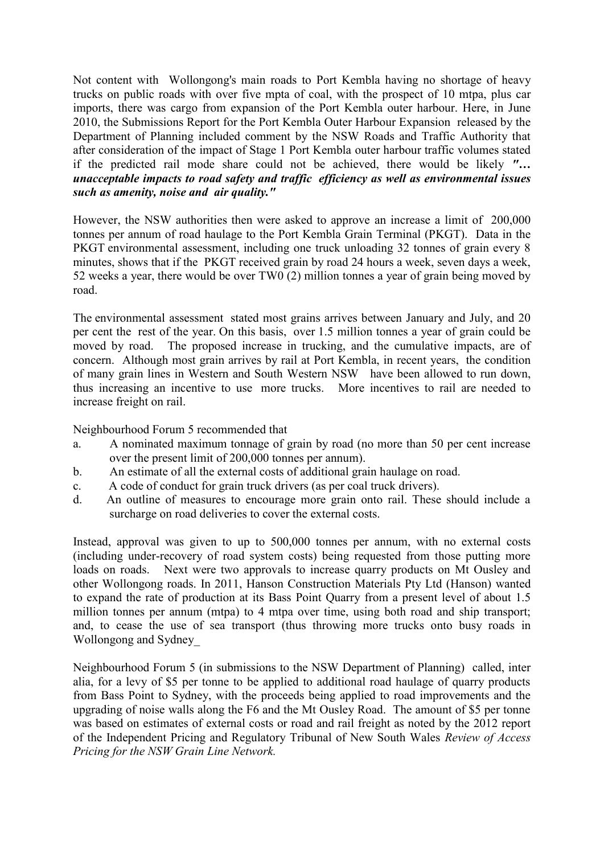Not content with Wollongong's main roads to Port Kembla having no shortage of heavy trucks on public roads with over five mpta of coal, with the prospect of 10 mtpa, plus car imports, there was cargo from expansion of the Port Kembla outer harbour. Here, in June 2010, the Submissions Report for the Port Kembla Outer Harbour Expansion released by the Department of Planning included comment by the NSW Roads and Traffic Authority that after consideration of the impact of Stage 1 Port Kembla outer harbour traffic volumes stated if the predicted rail mode share could not be achieved, there would be likely *"… unacceptable impacts to road safety and traffic efficiency as well as environmental issues such as amenity, noise and air quality."*

However, the NSW authorities then were asked to approve an increase a limit of 200,000 tonnes per annum of road haulage to the Port Kembla Grain Terminal (PKGT). Data in the PKGT environmental assessment, including one truck unloading 32 tonnes of grain every 8 minutes, shows that if the PKGT received grain by road 24 hours a week, seven days a week, 52 weeks a year, there would be over TW0 (2) million tonnes a year of grain being moved by road.

The environmental assessment stated most grains arrives between January and July, and 20 per cent the rest of the year. On this basis, over 1.5 million tonnes a year of grain could be moved by road. The proposed increase in trucking, and the cumulative impacts, are of concern. Although most grain arrives by rail at Port Kembla, in recent years, the condition of many grain lines in Western and South Western NSW have been allowed to run down, thus increasing an incentive to use more trucks. More incentives to rail are needed to increase freight on rail.

Neighbourhood Forum 5 recommended that

- a. A nominated maximum tonnage of grain by road (no more than 50 per cent increase over the present limit of 200,000 tonnes per annum).
- b. An estimate of all the external costs of additional grain haulage on road.
- c. A code of conduct for grain truck drivers (as per coal truck drivers).
- d. An outline of measures to encourage more grain onto rail. These should include a surcharge on road deliveries to cover the external costs.

Instead, approval was given to up to 500,000 tonnes per annum, with no external costs (including under-recovery of road system costs) being requested from those putting more loads on roads. Next were two approvals to increase quarry products on Mt Ousley and other Wollongong roads. In 2011, Hanson Construction Materials Pty Ltd (Hanson) wanted to expand the rate of production at its Bass Point Quarry from a present level of about 1.5 million tonnes per annum (mtpa) to 4 mtpa over time, using both road and ship transport; and, to cease the use of sea transport (thus throwing more trucks onto busy roads in Wollongong and Sydney\_

Neighbourhood Forum 5 (in submissions to the NSW Department of Planning) called, inter alia, for a levy of \$5 per tonne to be applied to additional road haulage of quarry products from Bass Point to Sydney, with the proceeds being applied to road improvements and the upgrading of noise walls along the F6 and the Mt Ousley Road. The amount of \$5 per tonne was based on estimates of external costs or road and rail freight as noted by the 2012 report of the Independent Pricing and Regulatory Tribunal of New South Wales *Review of Access Pricing for the NSW Grain Line Network.*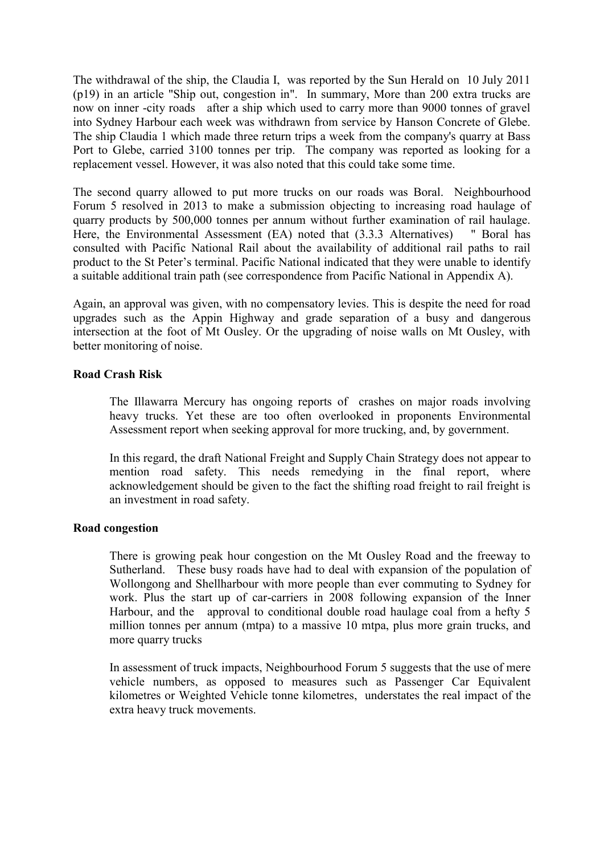The withdrawal of the ship, the Claudia I, was reported by the Sun Herald on 10 July 2011 (p19) in an article "Ship out, congestion in". In summary, More than 200 extra trucks are now on inner -city roads after a ship which used to carry more than 9000 tonnes of gravel into Sydney Harbour each week was withdrawn from service by Hanson Concrete of Glebe. The ship Claudia 1 which made three return trips a week from the company's quarry at Bass Port to Glebe, carried 3100 tonnes per trip. The company was reported as looking for a replacement vessel. However, it was also noted that this could take some time.

The second quarry allowed to put more trucks on our roads was Boral. Neighbourhood Forum 5 resolved in 2013 to make a submission objecting to increasing road haulage of quarry products by 500,000 tonnes per annum without further examination of rail haulage. Here, the Environmental Assessment (EA) noted that (3.3.3 Alternatives) " Boral has consulted with Pacific National Rail about the availability of additional rail paths to rail product to the St Peter's terminal. Pacific National indicated that they were unable to identify a suitable additional train path (see correspondence from Pacific National in Appendix A).

Again, an approval was given, with no compensatory levies. This is despite the need for road upgrades such as the Appin Highway and grade separation of a busy and dangerous intersection at the foot of Mt Ousley. Or the upgrading of noise walls on Mt Ousley, with better monitoring of noise.

### **Road Crash Risk**

The Illawarra Mercury has ongoing reports of crashes on major roads involving heavy trucks. Yet these are too often overlooked in proponents Environmental Assessment report when seeking approval for more trucking, and, by government.

In this regard, the draft National Freight and Supply Chain Strategy does not appear to mention road safety. This needs remedying in the final report, where acknowledgement should be given to the fact the shifting road freight to rail freight is an investment in road safety.

### **Road congestion**

There is growing peak hour congestion on the Mt Ousley Road and the freeway to Sutherland. These busy roads have had to deal with expansion of the population of Wollongong and Shellharbour with more people than ever commuting to Sydney for work. Plus the start up of car-carriers in 2008 following expansion of the Inner Harbour, and the approval to conditional double road haulage coal from a hefty 5 million tonnes per annum (mtpa) to a massive 10 mtpa, plus more grain trucks, and more quarry trucks

In assessment of truck impacts, Neighbourhood Forum 5 suggests that the use of mere vehicle numbers, as opposed to measures such as Passenger Car Equivalent kilometres or Weighted Vehicle tonne kilometres, understates the real impact of the extra heavy truck movements.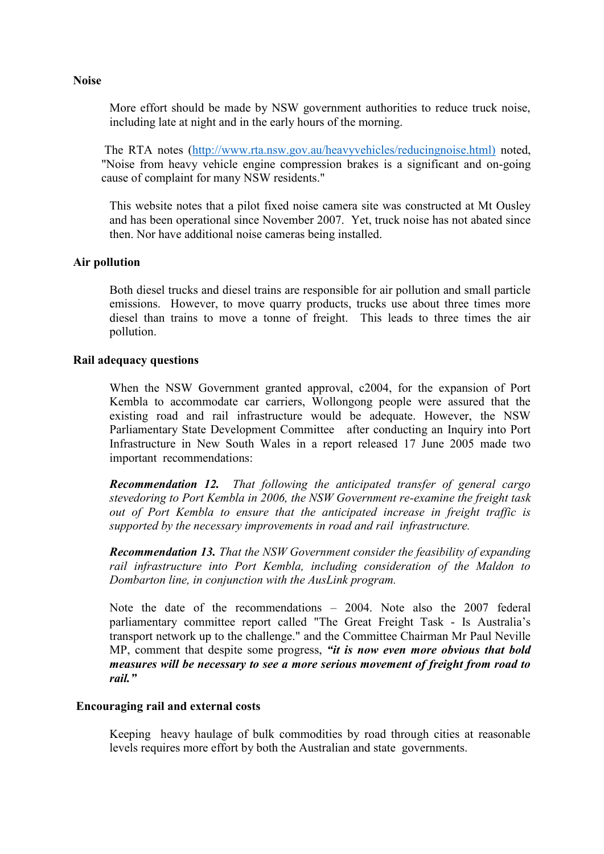More effort should be made by NSW government authorities to reduce truck noise, including late at night and in the early hours of the morning.

The RTA notes [\(http://www.rta.nsw.gov.au/heavyvehicles/reducingnoise.html\)](http://www.rta.nsw.gov.au/heavyvehicles/reducingnoise.html)) noted, "Noise from heavy vehicle engine compression brakes is a significant and on-going cause of complaint for many NSW residents."

This website notes that a pilot fixed noise camera site was constructed at Mt Ousley and has been operational since November 2007. Yet, truck noise has not abated since then. Nor have additional noise cameras being installed.

### **Air pollution**

Both diesel trucks and diesel trains are responsible for air pollution and small particle emissions. However, to move quarry products, trucks use about three times more diesel than trains to move a tonne of freight. This leads to three times the air pollution.

### **Rail adequacy questions**

When the NSW Government granted approval, c2004, for the expansion of Port Kembla to accommodate car carriers, Wollongong people were assured that the existing road and rail infrastructure would be adequate. However, the NSW Parliamentary State Development Committee after conducting an [Inquiry into Port](http://www.parliament.nsw.gov.au/prod/parlment/Committee.nsf/0/9D30E3B570DB5728CA256DC90015195F)  [Infrastructure in New South Wales](http://www.parliament.nsw.gov.au/prod/parlment/Committee.nsf/0/9D30E3B570DB5728CA256DC90015195F) in a report released 17 June 2005 made two important recommendations:

*Recommendation 12. That following the anticipated transfer of general cargo stevedoring to Port Kembla in 2006, the NSW Government re-examine the freight task out of Port Kembla to ensure that the anticipated increase in freight traffic is supported by the necessary improvements in road and rail infrastructure.* 

*Recommendation 13. That the NSW Government consider the feasibility of expanding rail infrastructure into Port Kembla, including consideration of the Maldon to Dombarton line, in conjunction with the AusLink program.*

Note the date of the recommendations – 2004. Note also the 2007 federal parliamentary committee report called "The Great Freight Task - Is Australia's transport network up to the challenge." and the Committee Chairman Mr Paul Neville MP, comment that despite some progress, *"it is now even more obvious that bold measures will be necessary to see a more serious movement of freight from road to rail."* 

### **Encouraging rail and external costs**

Keeping heavy haulage of bulk commodities by road through cities at reasonable levels requires more effort by both the Australian and state governments.

#### **Noise**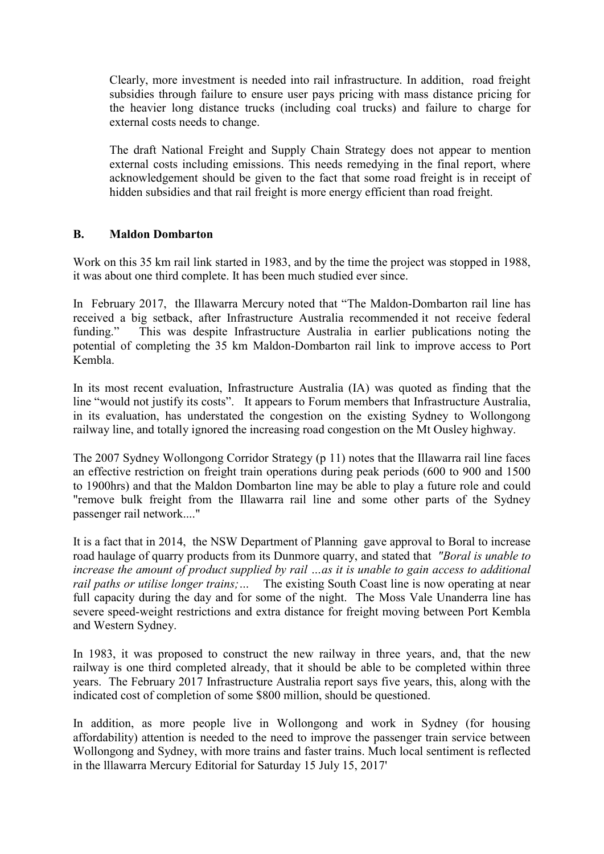Clearly, more investment is needed into rail infrastructure. In addition, road freight subsidies through failure to ensure user pays pricing with mass distance pricing for the heavier long distance trucks (including coal trucks) and failure to charge for external costs needs to change.

The draft National Freight and Supply Chain Strategy does not appear to mention external costs including emissions. This needs remedying in the final report, where acknowledgement should be given to the fact that some road freight is in receipt of hidden subsidies and that rail freight is more energy efficient than road freight.

### **B. Maldon Dombarton**

Work on this 35 km rail link started in 1983, and by the time the project was stopped in 1988, it was about one third complete. It has been much studied ever since.

In February 2017, the Illawarra Mercury noted that "The Maldon-Dombarton rail line has received a big setback, after Infrastructure Australia recommended it not receive federal funding." This was despite Infrastructure Australia in earlier publications noting the potential of completing the 35 km Maldon-Dombarton rail link to improve access to Port Kembla.

In its most recent evaluation, Infrastructure Australia (IA) was quoted as finding that the line "would not justify its costs". It appears to Forum members that Infrastructure Australia, in its evaluation, has understated the congestion on the existing Sydney to Wollongong railway line, and totally ignored the increasing road congestion on the Mt Ousley highway.

The 2007 Sydney Wollongong Corridor Strategy (p 11) notes that the Illawarra rail line faces an effective restriction on freight train operations during peak periods (600 to 900 and 1500 to 1900hrs) and that the Maldon Dombarton line may be able to play a future role and could "remove bulk freight from the Illawarra rail line and some other parts of the Sydney passenger rail network...."

It is a fact that in 2014, the NSW Department of Planning gave approval to Boral to increase road haulage of quarry products from its Dunmore quarry, and stated that *"Boral is unable to increase the amount of product supplied by rail …as it is unable to gain access to additional rail paths or utilise longer trains;* ... The existing South Coast line is now operating at near full capacity during the day and for some of the night. The Moss Vale Unanderra line has severe speed-weight restrictions and extra distance for freight moving between Port Kembla and Western Sydney.

In 1983, it was proposed to construct the new railway in three years, and, that the new railway is one third completed already, that it should be able to be completed within three years. The February 2017 Infrastructure Australia report says five years, this, along with the indicated cost of completion of some \$800 million, should be questioned.

In addition, as more people live in Wollongong and work in Sydney (for housing affordability) attention is needed to the need to improve the passenger train service between Wollongong and Sydney, with more trains and faster trains. Much local sentiment is reflected in the lllawarra Mercury Editorial for Saturday 15 July 15, 2017'